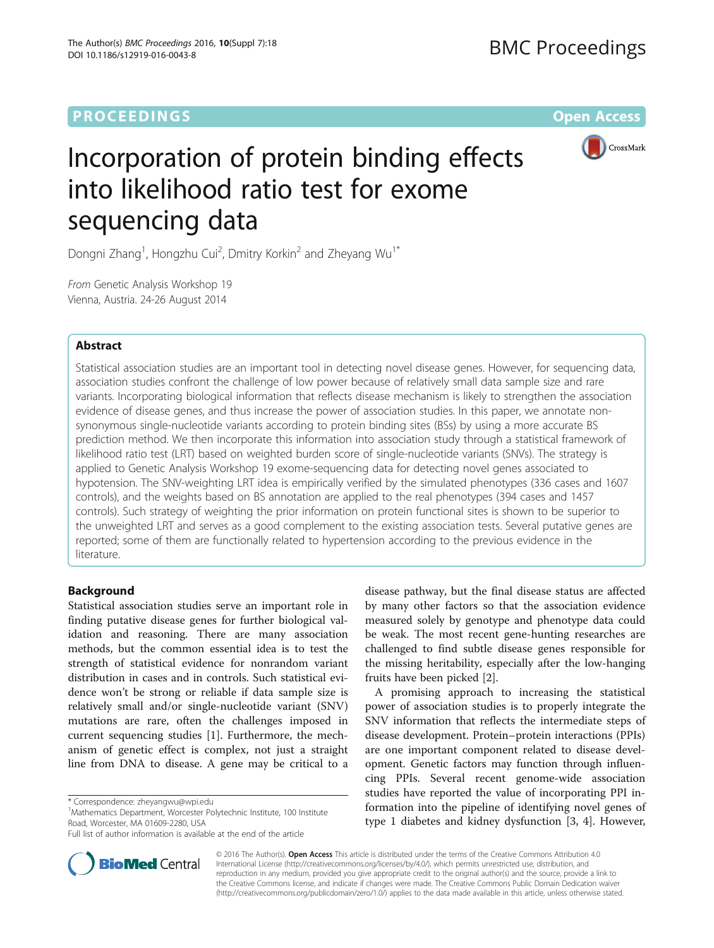# **PROCEEDINGS STATE ACCESS CONSUMING S** Open Access



# Incorporation of protein binding effects into likelihood ratio test for exome sequencing data

Dongni Zhang<sup>1</sup>, Hongzhu Cui<sup>2</sup>, Dmitry Korkin<sup>2</sup> and Zheyang Wu<sup>1\*</sup>

From Genetic Analysis Workshop 19 Vienna, Austria. 24-26 August 2014

# Abstract

Statistical association studies are an important tool in detecting novel disease genes. However, for sequencing data, association studies confront the challenge of low power because of relatively small data sample size and rare variants. Incorporating biological information that reflects disease mechanism is likely to strengthen the association evidence of disease genes, and thus increase the power of association studies. In this paper, we annotate nonsynonymous single-nucleotide variants according to protein binding sites (BSs) by using a more accurate BS prediction method. We then incorporate this information into association study through a statistical framework of likelihood ratio test (LRT) based on weighted burden score of single-nucleotide variants (SNVs). The strategy is applied to Genetic Analysis Workshop 19 exome-sequencing data for detecting novel genes associated to hypotension. The SNV-weighting LRT idea is empirically verified by the simulated phenotypes (336 cases and 1607 controls), and the weights based on BS annotation are applied to the real phenotypes (394 cases and 1457 controls). Such strategy of weighting the prior information on protein functional sites is shown to be superior to the unweighted LRT and serves as a good complement to the existing association tests. Several putative genes are reported; some of them are functionally related to hypertension according to the previous evidence in the literature.

# Background

Statistical association studies serve an important role in finding putative disease genes for further biological validation and reasoning. There are many association methods, but the common essential idea is to test the strength of statistical evidence for nonrandom variant distribution in cases and in controls. Such statistical evidence won't be strong or reliable if data sample size is relatively small and/or single-nucleotide variant (SNV) mutations are rare, often the challenges imposed in current sequencing studies [[1](#page-5-0)]. Furthermore, the mechanism of genetic effect is complex, not just a straight line from DNA to disease. A gene may be critical to a

<sup>1</sup>Mathematics Department, Worcester Polytechnic Institute, 100 Institute Road, Worcester, MA 01609-2280, USA

disease pathway, but the final disease status are affected by many other factors so that the association evidence measured solely by genotype and phenotype data could be weak. The most recent gene-hunting researches are challenged to find subtle disease genes responsible for the missing heritability, especially after the low-hanging fruits have been picked [[2\]](#page-5-0).

A promising approach to increasing the statistical power of association studies is to properly integrate the SNV information that reflects the intermediate steps of disease development. Protein–protein interactions (PPIs) are one important component related to disease development. Genetic factors may function through influencing PPIs. Several recent genome-wide association studies have reported the value of incorporating PPI information into the pipeline of identifying novel genes of type 1 diabetes and kidney dysfunction [[3](#page-5-0), [4](#page-6-0)]. However,



© 2016 The Author(s). Open Access This article is distributed under the terms of the Creative Commons Attribution 4.0 International License [\(http://creativecommons.org/licenses/by/4.0/](http://creativecommons.org/licenses/by/4.0/)), which permits unrestricted use, distribution, and reproduction in any medium, provided you give appropriate credit to the original author(s) and the source, provide a link to the Creative Commons license, and indicate if changes were made. The Creative Commons Public Domain Dedication waiver [\(http://creativecommons.org/publicdomain/zero/1.0/](http://creativecommons.org/publicdomain/zero/1.0/)) applies to the data made available in this article, unless otherwise stated.

<sup>\*</sup> Correspondence: [zheyangwu@wpi.edu](mailto:zheyangwu@wpi.edu) <sup>1</sup>

Full list of author information is available at the end of the article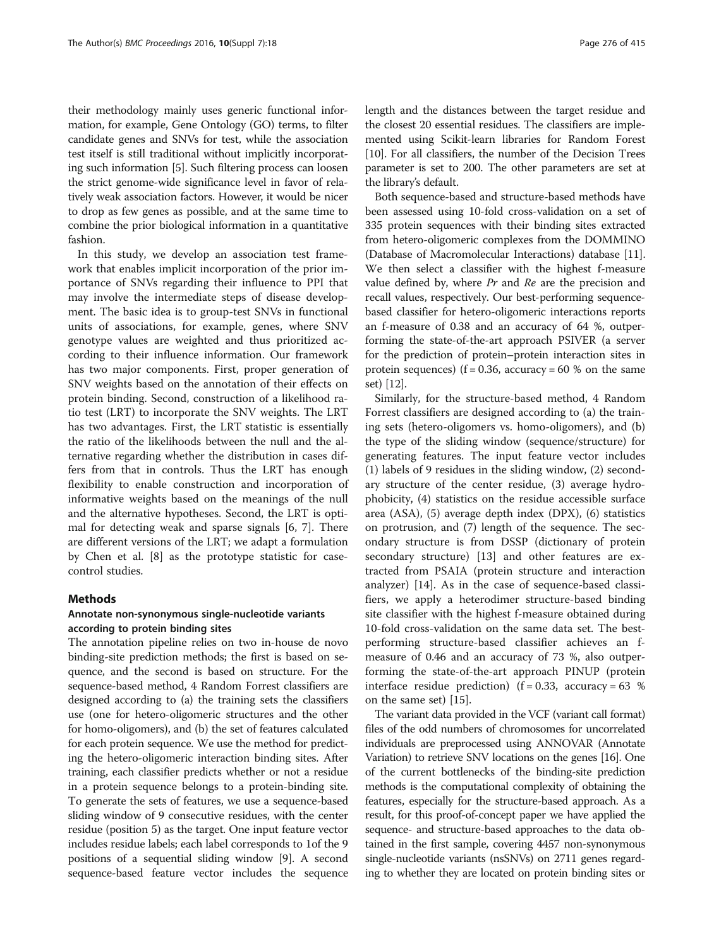their methodology mainly uses generic functional information, for example, Gene Ontology (GO) terms, to filter candidate genes and SNVs for test, while the association test itself is still traditional without implicitly incorporating such information [\[5](#page-6-0)]. Such filtering process can loosen the strict genome-wide significance level in favor of relatively weak association factors. However, it would be nicer to drop as few genes as possible, and at the same time to combine the prior biological information in a quantitative fashion.

In this study, we develop an association test framework that enables implicit incorporation of the prior importance of SNVs regarding their influence to PPI that may involve the intermediate steps of disease development. The basic idea is to group-test SNVs in functional units of associations, for example, genes, where SNV genotype values are weighted and thus prioritized according to their influence information. Our framework has two major components. First, proper generation of SNV weights based on the annotation of their effects on protein binding. Second, construction of a likelihood ratio test (LRT) to incorporate the SNV weights. The LRT has two advantages. First, the LRT statistic is essentially the ratio of the likelihoods between the null and the alternative regarding whether the distribution in cases differs from that in controls. Thus the LRT has enough flexibility to enable construction and incorporation of informative weights based on the meanings of the null and the alternative hypotheses. Second, the LRT is optimal for detecting weak and sparse signals [[6, 7\]](#page-6-0). There are different versions of the LRT; we adapt a formulation by Chen et al. [\[8](#page-6-0)] as the prototype statistic for casecontrol studies.

#### Methods

# Annotate non-synonymous single-nucleotide variants according to protein binding sites

The annotation pipeline relies on two in-house de novo binding-site prediction methods; the first is based on sequence, and the second is based on structure. For the sequence-based method, 4 Random Forrest classifiers are designed according to (a) the training sets the classifiers use (one for hetero-oligomeric structures and the other for homo-oligomers), and (b) the set of features calculated for each protein sequence. We use the method for predicting the hetero-oligomeric interaction binding sites. After training, each classifier predicts whether or not a residue in a protein sequence belongs to a protein-binding site. To generate the sets of features, we use a sequence-based sliding window of 9 consecutive residues, with the center residue (position 5) as the target. One input feature vector includes residue labels; each label corresponds to 1of the 9 positions of a sequential sliding window [[9](#page-6-0)]. A second sequence-based feature vector includes the sequence length and the distances between the target residue and the closest 20 essential residues. The classifiers are implemented using Scikit-learn libraries for Random Forest [[10](#page-6-0)]. For all classifiers, the number of the Decision Trees parameter is set to 200. The other parameters are set at the library's default.

Both sequence-based and structure-based methods have been assessed using 10-fold cross-validation on a set of 335 protein sequences with their binding sites extracted from hetero-oligomeric complexes from the DOMMINO (Database of Macromolecular Interactions) database [[11](#page-6-0)]. We then select a classifier with the highest f-measure value defined by, where  $Pr$  and  $Re$  are the precision and recall values, respectively. Our best-performing sequencebased classifier for hetero-oligomeric interactions reports an f-measure of 0.38 and an accuracy of 64 %, outperforming the state-of-the-art approach PSIVER (a server for the prediction of protein–protein interaction sites in protein sequences) ( $f = 0.36$ , accuracy = 60 % on the same set) [[12](#page-6-0)].

Similarly, for the structure-based method, 4 Random Forrest classifiers are designed according to (a) the training sets (hetero-oligomers vs. homo-oligomers), and (b) the type of the sliding window (sequence/structure) for generating features. The input feature vector includes (1) labels of 9 residues in the sliding window, (2) secondary structure of the center residue, (3) average hydrophobicity, (4) statistics on the residue accessible surface area (ASA), (5) average depth index (DPX), (6) statistics on protrusion, and (7) length of the sequence. The secondary structure is from DSSP (dictionary of protein secondary structure) [\[13\]](#page-6-0) and other features are extracted from PSAIA (protein structure and interaction analyzer) [[14\]](#page-6-0). As in the case of sequence-based classifiers, we apply a heterodimer structure-based binding site classifier with the highest f-measure obtained during 10-fold cross-validation on the same data set. The bestperforming structure-based classifier achieves an fmeasure of 0.46 and an accuracy of 73 %, also outperforming the state-of-the-art approach PINUP (protein interface residue prediction) ( $f = 0.33$ , accuracy = 63 % on the same set) [\[15](#page-6-0)].

The variant data provided in the VCF (variant call format) files of the odd numbers of chromosomes for uncorrelated individuals are preprocessed using ANNOVAR (Annotate Variation) to retrieve SNV locations on the genes [\[16\]](#page-6-0). One of the current bottlenecks of the binding-site prediction methods is the computational complexity of obtaining the features, especially for the structure-based approach. As a result, for this proof-of-concept paper we have applied the sequence- and structure-based approaches to the data obtained in the first sample, covering 4457 non-synonymous single-nucleotide variants (nsSNVs) on 2711 genes regarding to whether they are located on protein binding sites or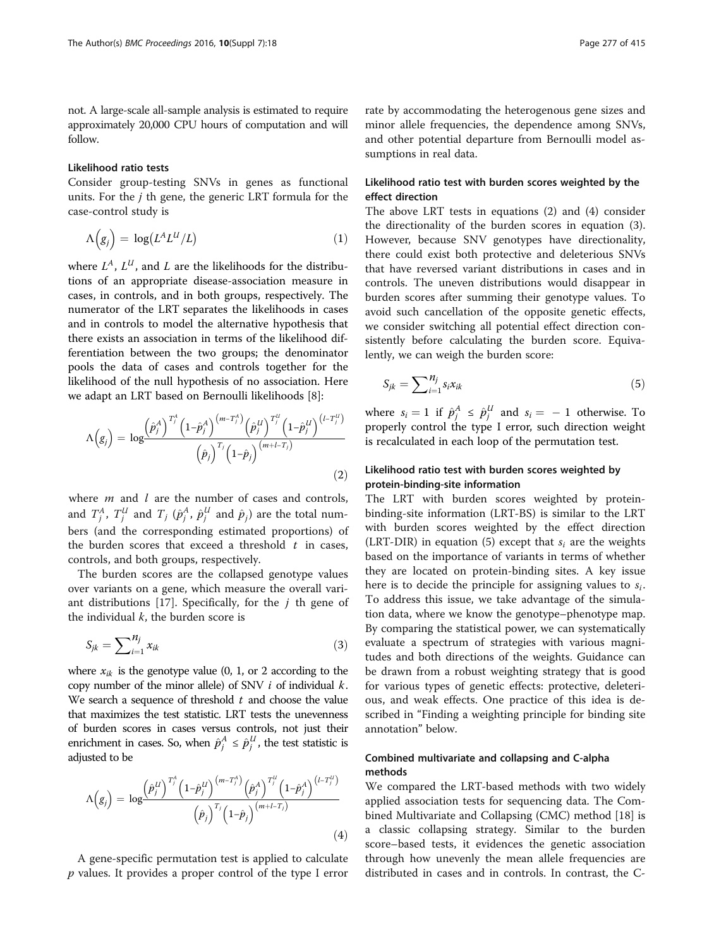not. A large-scale all-sample analysis is estimated to require approximately 20,000 CPU hours of computation and will follow.

#### Likelihood ratio tests

Consider group-testing SNVs in genes as functional units. For the  $j$  th gene, the generic LRT formula for the case-control study is

$$
\Lambda(g_j) = \log(L^A L^U/L) \tag{1}
$$

where  $L^A$ ,  $L^U$ , and L are the likelihoods for the distributions of an appropriate disease-association measure in cases, in controls, and in both groups, respectively. The numerator of the LRT separates the likelihoods in cases and in controls to model the alternative hypothesis that there exists an association in terms of the likelihood differentiation between the two groups; the denominator pools the data of cases and controls together for the likelihood of the null hypothesis of no association. Here we adapt an LRT based on Bernoulli likelihoods [[8\]](#page-6-0):

$$
\Lambda(g_j) = \log \frac{\left(\hat{p}_j^A\right)^{T_j^A} \left(1-\hat{p}_j^A\right)^{(m-T_j^A)} \left(\hat{p}_j^U\right)^{T_j^U} \left(1-\hat{p}_j^U\right)^{(l-T_j^U)}}{\left(\hat{p}_j\right)^{T_j} \left(1-\hat{p}_j\right)^{(m+l-T_j)}}\n\tag{2}
$$

where  $m$  and  $l$  are the number of cases and controls, and  $T_j^A$ ,  $T_j^U$  and  $T_j$  ( $\hat{p}_j^A$ ,  $\hat{p}_j^U$  and  $\hat{p}_j$ ) are the total numbers (and the corresponding estimated proportions) of the burden scores that exceed a threshold  $t$  in cases, controls, and both groups, respectively.

The burden scores are the collapsed genotype values over variants on a gene, which measure the overall vari-ant distributions [[17\]](#page-6-0). Specifically, for the  $i$  th gene of the individual  $k$ , the burden score is

$$
S_{jk} = \sum_{i=1}^{N_j} x_{ik} \tag{3}
$$

where  $x_{ik}$  is the genotype value (0, 1, or 2 according to the copy number of the minor allele) of SNV  $i$  of individual  $k$ . We search a sequence of threshold  $t$  and choose the value that maximizes the test statistic. LRT tests the unevenness of burden scores in cases versus controls, not just their enrichment in cases. So, when  $\hat{p}_j^A \leq \hat{p}_j^U$ , the test statistic is adjusted to be adjusted to be

$$
\Lambda(g_j) = \log \frac{\left(\hat{p}_j^U\right)^{T_j^A} \left(1-\hat{p}_j^U\right)^{(m-T_j^A)} \left(\hat{p}_j^A\right)^{T_j^U} \left(1-\hat{p}_j^A\right)^{(l-T_j^U)}}{\left(\hat{p}_j\right)^{T_j} \left(1-\hat{p}_j\right)^{(m+l-T_j)}}\tag{4}
$$

A gene-specific permutation test is applied to calculate p values. It provides a proper control of the type I error

rate by accommodating the heterogenous gene sizes and minor allele frequencies, the dependence among SNVs, and other potential departure from Bernoulli model assumptions in real data.

# Likelihood ratio test with burden scores weighted by the effect direction

The above LRT tests in equations (2) and (4) consider the directionality of the burden scores in equation (3). However, because SNV genotypes have directionality, there could exist both protective and deleterious SNVs that have reversed variant distributions in cases and in controls. The uneven distributions would disappear in burden scores after summing their genotype values. To avoid such cancellation of the opposite genetic effects, we consider switching all potential effect direction consistently before calculating the burden score. Equivalently, we can weigh the burden score:

$$
S_{jk} = \sum_{i=1}^{N_j} s_i x_{ik} \tag{5}
$$

where  $s_i = 1$  if  $\hat{p}^A_j \leq \hat{p}^U_j$  and  $s_i = -1$  otherwise. To properly control the type I error such direction weight properly control the type I error, such direction weight is recalculated in each loop of the permutation test.

# Likelihood ratio test with burden scores weighted by protein-binding-site information

The LRT with burden scores weighted by proteinbinding-site information (LRT-BS) is similar to the LRT with burden scores weighted by the effect direction (LRT-DIR) in equation (5) except that  $s_i$  are the weights based on the importance of variants in terms of whether they are located on protein-binding sites. A key issue here is to decide the principle for assigning values to  $s_i$ . To address this issue, we take advantage of the simulation data, where we know the genotype–phenotype map. By comparing the statistical power, we can systematically evaluate a spectrum of strategies with various magnitudes and both directions of the weights. Guidance can be drawn from a robust weighting strategy that is good for various types of genetic effects: protective, deleterious, and weak effects. One practice of this idea is described in "Finding a weighting principle for binding site annotation" below.

# Combined multivariate and collapsing and C-alpha methods

We compared the LRT-based methods with two widely applied association tests for sequencing data. The Combined Multivariate and Collapsing (CMC) method [\[18](#page-6-0)] is a classic collapsing strategy. Similar to the burden score–based tests, it evidences the genetic association through how unevenly the mean allele frequencies are distributed in cases and in controls. In contrast, the C-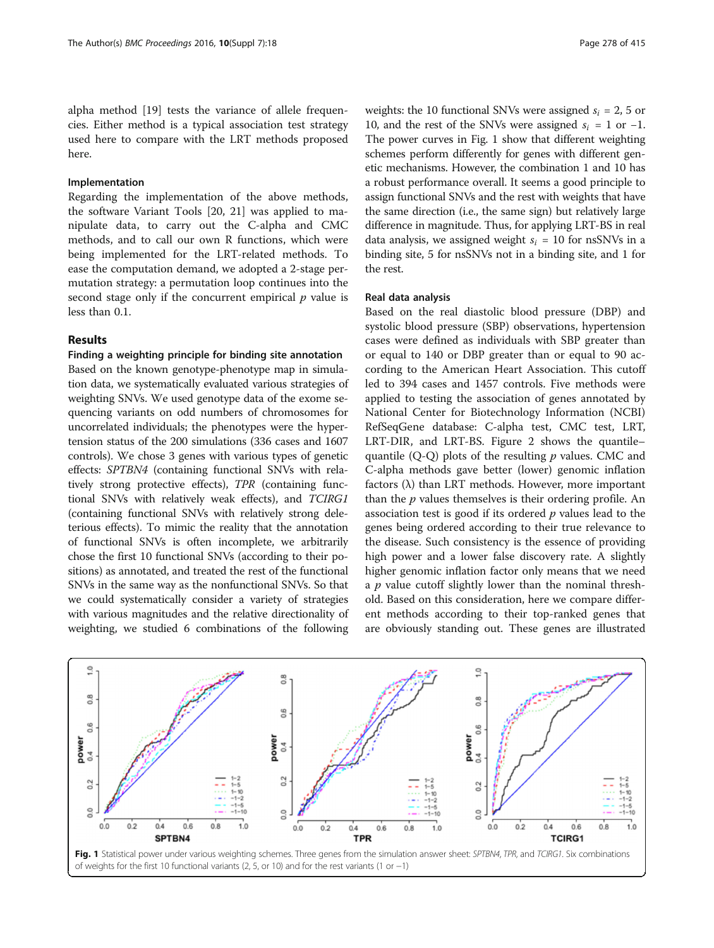alpha method [\[19\]](#page-6-0) tests the variance of allele frequencies. Either method is a typical association test strategy used here to compare with the LRT methods proposed here.

#### Implementation

Regarding the implementation of the above methods, the software Variant Tools [[20, 21\]](#page-6-0) was applied to manipulate data, to carry out the C-alpha and CMC methods, and to call our own R functions, which were being implemented for the LRT-related methods. To ease the computation demand, we adopted a 2-stage permutation strategy: a permutation loop continues into the second stage only if the concurrent empirical  $p$  value is less than 0.1.

## Results

#### Finding a weighting principle for binding site annotation

Based on the known genotype-phenotype map in simulation data, we systematically evaluated various strategies of weighting SNVs. We used genotype data of the exome sequencing variants on odd numbers of chromosomes for uncorrelated individuals; the phenotypes were the hypertension status of the 200 simulations (336 cases and 1607 controls). We chose 3 genes with various types of genetic effects: SPTBN4 (containing functional SNVs with relatively strong protective effects), TPR (containing functional SNVs with relatively weak effects), and TCIRG1 (containing functional SNVs with relatively strong deleterious effects). To mimic the reality that the annotation of functional SNVs is often incomplete, we arbitrarily chose the first 10 functional SNVs (according to their positions) as annotated, and treated the rest of the functional SNVs in the same way as the nonfunctional SNVs. So that we could systematically consider a variety of strategies with various magnitudes and the relative directionality of weighting, we studied 6 combinations of the following

weights: the 10 functional SNVs were assigned  $s_i = 2$ , 5 or 10, and the rest of the SNVs were assigned  $s_i = 1$  or  $-1$ . The power curves in Fig. 1 show that different weighting schemes perform differently for genes with different genetic mechanisms. However, the combination 1 and 10 has a robust performance overall. It seems a good principle to assign functional SNVs and the rest with weights that have the same direction (i.e., the same sign) but relatively large difference in magnitude. Thus, for applying LRT-BS in real data analysis, we assigned weight  $s_i = 10$  for nsSNVs in a binding site, 5 for nsSNVs not in a binding site, and 1 for the rest.

#### Real data analysis

Based on the real diastolic blood pressure (DBP) and systolic blood pressure (SBP) observations, hypertension cases were defined as individuals with SBP greater than or equal to 140 or DBP greater than or equal to 90 according to the American Heart Association. This cutoff led to 394 cases and 1457 controls. Five methods were applied to testing the association of genes annotated by National Center for Biotechnology Information (NCBI) RefSeqGene database: C-alpha test, CMC test, LRT, LRT-DIR, and LRT-BS. Figure [2](#page-4-0) shows the quantile– quantile  $(Q-Q)$  plots of the resulting p values. CMC and C-alpha methods gave better (lower) genomic inflation factors (λ) than LRT methods. However, more important than the  $p$  values themselves is their ordering profile. An association test is good if its ordered  $p$  values lead to the genes being ordered according to their true relevance to the disease. Such consistency is the essence of providing high power and a lower false discovery rate. A slightly higher genomic inflation factor only means that we need a  $p$  value cutoff slightly lower than the nominal threshold. Based on this consideration, here we compare different methods according to their top-ranked genes that are obviously standing out. These genes are illustrated

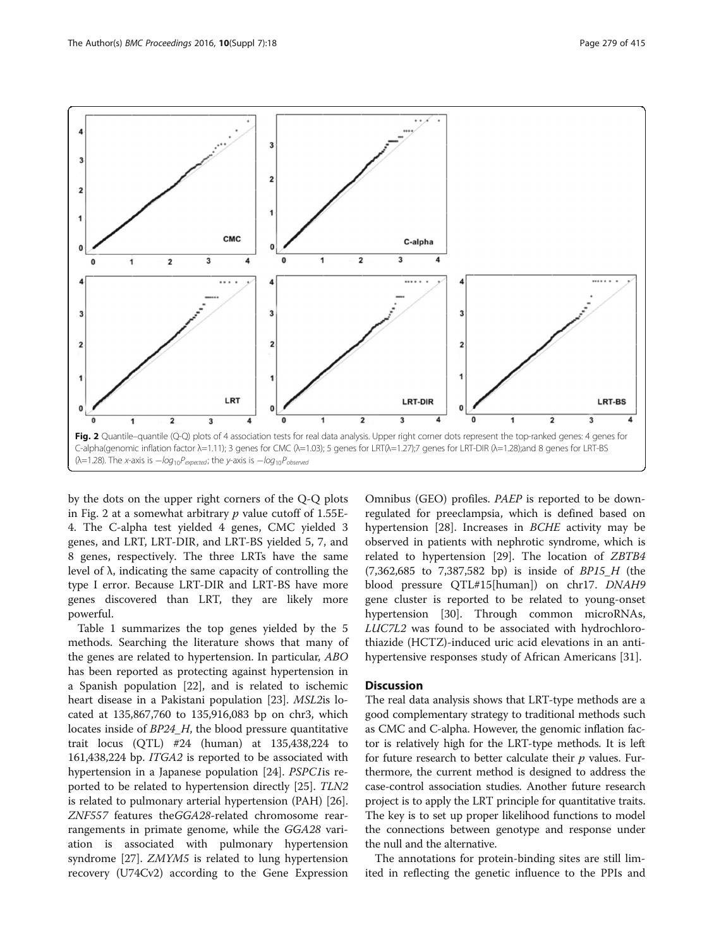<span id="page-4-0"></span>

by the dots on the upper right corners of the Q-Q plots in Fig. 2 at a somewhat arbitrary  $p$  value cutoff of 1.55E-4. The C-alpha test yielded 4 genes, CMC yielded 3 genes, and LRT, LRT-DIR, and LRT-BS yielded 5, 7, and 8 genes, respectively. The three LRTs have the same level of λ, indicating the same capacity of controlling the type I error. Because LRT-DIR and LRT-BS have more genes discovered than LRT, they are likely more powerful.

Table [1](#page-5-0) summarizes the top genes yielded by the 5 methods. Searching the literature shows that many of the genes are related to hypertension. In particular, ABO has been reported as protecting against hypertension in a Spanish population [[22\]](#page-6-0), and is related to ischemic heart disease in a Pakistani population [[23\]](#page-6-0). MSL2is located at 135,867,760 to 135,916,083 bp on chr3, which locates inside of BP24\_H, the blood pressure quantitative trait locus (QTL) #24 (human) at 135,438,224 to 161,438,224 bp. ITGA2 is reported to be associated with hypertension in a Japanese population [\[24](#page-6-0)]. PSPC1is reported to be related to hypertension directly [\[25](#page-6-0)]. TLN2 is related to pulmonary arterial hypertension (PAH) [\[26](#page-6-0)]. ZNF557 features theGGA28-related chromosome rearrangements in primate genome, while the GGA28 variation is associated with pulmonary hypertension syndrome [[27\]](#page-6-0). ZMYM5 is related to lung hypertension recovery (U74Cv2) according to the Gene Expression

Omnibus (GEO) profiles. PAEP is reported to be downregulated for preeclampsia, which is defined based on hypertension [[28\]](#page-6-0). Increases in *BCHE* activity may be observed in patients with nephrotic syndrome, which is related to hypertension [\[29](#page-6-0)]. The location of ZBTB4 (7,362,685 to 7,387,582 bp) is inside of BP15\_H (the blood pressure QTL#15[human]) on chr17. DNAH9 gene cluster is reported to be related to young-onset hypertension [[30\]](#page-6-0). Through common microRNAs, LUC7L2 was found to be associated with hydrochlorothiazide (HCTZ)-induced uric acid elevations in an antihypertensive responses study of African Americans [\[31](#page-6-0)].

#### **Discussion**

The real data analysis shows that LRT-type methods are a good complementary strategy to traditional methods such as CMC and C-alpha. However, the genomic inflation factor is relatively high for the LRT-type methods. It is left for future research to better calculate their  $p$  values. Furthermore, the current method is designed to address the case-control association studies. Another future research project is to apply the LRT principle for quantitative traits. The key is to set up proper likelihood functions to model the connections between genotype and response under the null and the alternative.

The annotations for protein-binding sites are still limited in reflecting the genetic influence to the PPIs and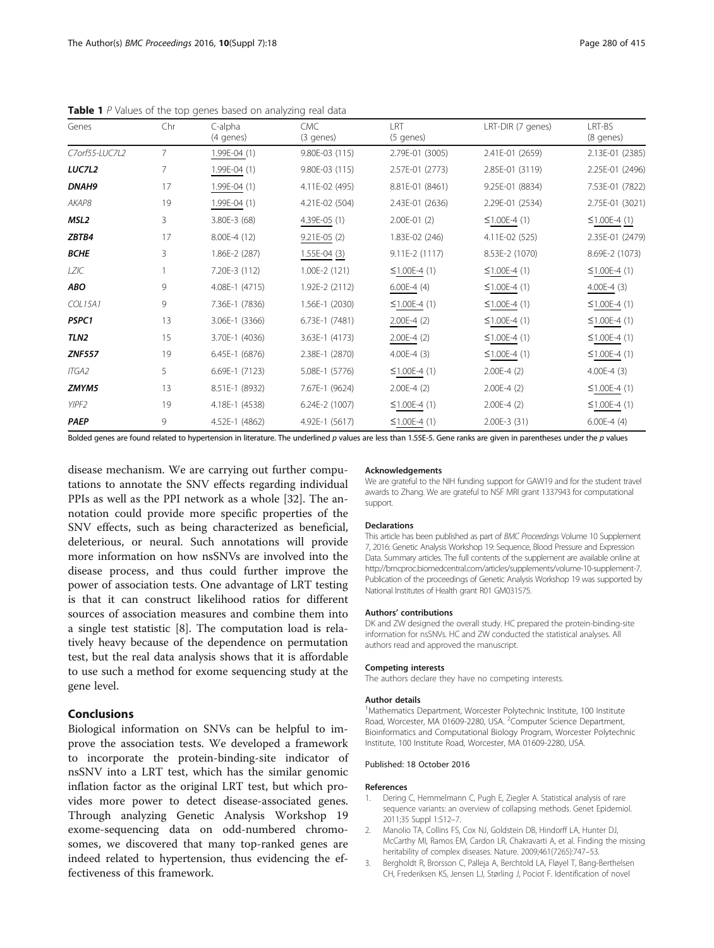| Genes          | Chr            | C-alpha<br>(4 genes) | <b>CMC</b><br>(3 genes) | I RT<br>(5 genes)  | LRT-DIR (7 genes)  | LRT-BS<br>(8 genes) |
|----------------|----------------|----------------------|-------------------------|--------------------|--------------------|---------------------|
| C7orf55-LUC7L2 | $\overline{7}$ | 1.99E-04 (1)         | 9.80E-03 (115)          | 2.79E-01 (3005)    | 2.41E-01 (2659)    | 2.13E-01 (2385)     |
| <b>LUC7L2</b>  | 7              | $1.99E-04(1)$        | 9.80E-03 (115)          | 2.57E-01 (2773)    | 2.85E-01 (3119)    | 2.25E-01 (2496)     |
| <b>DNAH9</b>   | 17             | 1.99E-04 (1)         | 4.11E-02 (495)          | 8.81E-01 (8461)    | 9.25E-01 (8834)    | 7.53E-01 (7822)     |
| AKAP8          | 19             | 1.99E-04 (1)         | 4.21E-02 (504)          | 2.43E-01 (2636)    | 2.29E-01 (2534)    | 2.75E-01 (3021)     |
| MSL2           | 3              | $3.80E-3(68)$        | $4.39E-05(1)$           | $2.00E-01(2)$      | $\leq$ 1.00E-4 (1) | $≤1.00E-4(1)$       |
| ZBTB4          | 17             | $8.00E-4(12)$        | $9.21E-05$ (2)          | 1.83E-02 (246)     | 4.11E-02 (525)     | 2.35E-01 (2479)     |
| <b>BCHE</b>    | 3              | $1.86E-2(287)$       | 1.55E-04 (3)            | $9.11E-2(1117)$    | 8.53E-2 (1070)     | 8.69E-2 (1073)      |
| LZIC           |                | 7.20E-3 (112)        | $1.00E-2(121)$          | $\leq$ 1.00E-4 (1) | $\leq$ 1.00E-4 (1) | $\leq$ 1.00E-4 (1)  |
| ABO            | 9              | 4.08E-1 (4715)       | 1.92E-2 (2112)          | $6.00E-4(4)$       | $\leq$ 1.00E-4 (1) | $4.00E-4$ (3)       |
| <b>COL15A1</b> | 9              | 7.36E-1 (7836)       | 1.56E-1 (2030)          | $\leq$ 1.00E-4 (1) | $\leq$ 1.00E-4 (1) | $\leq$ 1.00E-4 (1)  |
| PSPC1          | 13             | 3.06E-1 (3366)       | 6.73E-1 (7481)          | $2.00E-4$ (2)      | $\leq$ 1.00E-4 (1) | $≤1.00E-4(1)$       |
| TLN2           | 15             | 3.70E-1 (4036)       | 3.63E-1 (4173)          | $2.00E-4$ (2)      | $\leq$ 1.00E-4 (1) | $\leq$ 1.00E-4 (1)  |
| <b>ZNF557</b>  | 19             | 6.45E-1 (6876)       | 2.38E-1 (2870)          | $4.00E-4(3)$       | $\leq$ 1.00E-4 (1) | $≤1.00E-4(1)$       |
| <b>ITGA2</b>   | 5              | 6.69E-1 (7123)       | 5.08E-1 (5776)          | $≤1.00E-4(1)$      | $2.00E-4(2)$       | $4.00E-4(3)$        |
| ZMYM5          | 13             | 8.51E-1 (8932)       | 7.67E-1 (9624)          | $2.00E-4(2)$       | $2.00E-4(2)$       | $≤1.00E-4(1)$       |
| YIPF2          | 19             | 4.18E-1 (4538)       | 6.24E-2 (1007)          | $≤1.00E-4(1)$      | $2.00E-4(2)$       | $≤1.00E-4(1)$       |
| <b>PAEP</b>    | 9              | 4.52E-1 (4862)       | 4.92E-1 (5617)          | $≤1.00E-4(1)$      | 2.00E-3 (31)       | $6.00E-4(4)$        |

<span id="page-5-0"></span>**Table 1** P Values of the top genes based on analyzing real data

Bolded genes are found related to hypertension in literature. The underlined p values are less than 1.55E-5. Gene ranks are given in parentheses under the p values

disease mechanism. We are carrying out further computations to annotate the SNV effects regarding individual PPIs as well as the PPI network as a whole [[32](#page-6-0)]. The annotation could provide more specific properties of the SNV effects, such as being characterized as beneficial, deleterious, or neural. Such annotations will provide more information on how nsSNVs are involved into the disease process, and thus could further improve the power of association tests. One advantage of LRT testing is that it can construct likelihood ratios for different sources of association measures and combine them into a single test statistic [[8](#page-6-0)]. The computation load is relatively heavy because of the dependence on permutation test, but the real data analysis shows that it is affordable to use such a method for exome sequencing study at the gene level.

## Conclusions

Biological information on SNVs can be helpful to improve the association tests. We developed a framework to incorporate the protein-binding-site indicator of nsSNV into a LRT test, which has the similar genomic inflation factor as the original LRT test, but which provides more power to detect disease-associated genes. Through analyzing Genetic Analysis Workshop 19 exome-sequencing data on odd-numbered chromosomes, we discovered that many top-ranked genes are indeed related to hypertension, thus evidencing the effectiveness of this framework.

#### Acknowledgements

We are grateful to the NIH funding support for GAW19 and for the student travel awards to Zhang. We are grateful to NSF MRI grant 1337943 for computational support.

#### Declarations

This article has been published as part of BMC Proceedings Volume 10 Supplement 7, 2016: Genetic Analysis Workshop 19: Sequence, Blood Pressure and Expression Data. Summary articles. The full contents of the supplement are available online at [http://bmcproc.biomedcentral.com/articles/supplements/volume-10-supplement-7.](http://bmcproc.biomedcentral.com/articles/supplements/volume-10-supplement-7) Publication of the proceedings of Genetic Analysis Workshop 19 was supported by National Institutes of Health grant R01 GM031575.

#### Authors' contributions

DK and ZW designed the overall study. HC prepared the protein-binding-site information for nsSNVs. HC and ZW conducted the statistical analyses. All authors read and approved the manuscript.

#### Competing interests

The authors declare they have no competing interests.

#### Author details

<sup>1</sup>Mathematics Department, Worcester Polytechnic Institute, 100 Institute Road, Worcester, MA 01609-2280, USA. <sup>2</sup>Computer Science Department, Bioinformatics and Computational Biology Program, Worcester Polytechnic Institute, 100 Institute Road, Worcester, MA 01609-2280, USA.

#### Published: 18 October 2016

#### References

- 1. Dering C, Hemmelmann C, Pugh E, Ziegler A. Statistical analysis of rare sequence variants: an overview of collapsing methods. Genet Epidemiol. 2011;35 Suppl 1:S12–7.
- 2. Manolio TA, Collins FS, Cox NJ, Goldstein DB, Hindorff LA, Hunter DJ, McCarthy MI, Ramos EM, Cardon LR, Chakravarti A, et al. Finding the missing heritability of complex diseases. Nature. 2009;461(7265):747–53.
- 3. Bergholdt R, Brorsson C, Palleja A, Berchtold LA, Fløyel T, Bang-Berthelsen CH, Frederiksen KS, Jensen LJ, Størling J, Pociot F. Identification of novel